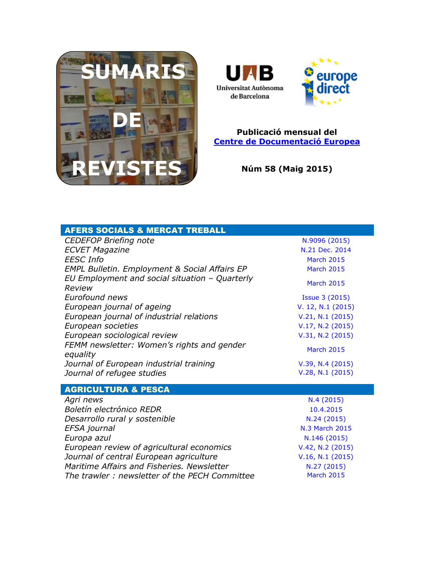



## **Publicació mensual del [Centre de Documentació Europea](http://www.uab.cat/biblioteques/cde/)**

**Núm 58 (Maig 2015)**

| <b>AFERS SOCIALS &amp; MERCAT TREBALL</b>                |                       |
|----------------------------------------------------------|-----------------------|
| <b>CEDEFOP Briefing note</b>                             | N.9096 (2015)         |
| <b>ECVET Magazine</b>                                    | N.21 Dec. 2014        |
| <b>EESC Info</b>                                         | <b>March 2015</b>     |
| <b>EMPL Bulletin. Employment &amp; Social Affairs EP</b> | <b>March 2015</b>     |
| EU Employment and social situation - Quarterly<br>Review | <b>March 2015</b>     |
| Eurofound news                                           | <b>Issue 3 (2015)</b> |
| European journal of ageing                               | V. 12, N.1 (2015)     |
| European journal of industrial relations                 | V.21, N.1 (2015)      |
| European societies                                       | V.17, N.2 (2015)      |
| European sociological review                             | V.31, N.2 (2015)      |
| FEMM newsletter: Women's rights and gender<br>equality   | <b>March 2015</b>     |
| Journal of European industrial training                  | V.39, N.4 (2015)      |
| Journal of refugee studies                               | V.28, N.1 (2015)      |
|                                                          |                       |
| <b>AGRICULTURA &amp; PESCA</b>                           |                       |
| Agri news                                                | N.4(2015)             |
| Boletín electrónico REDR                                 | 10.4.2015             |
| Desarrollo rural y sostenible                            | N.24 (2015)           |
| EFSA journal                                             | N.3 March 2015        |
| Europa azul                                              | N.146 (2015)          |
| European review of agricultural economics                | V.42, N.2 (2015)      |

*Maritime Affairs and Fisheries. Newsletter* **[N.27 \(2015\)](http://ec.europa.eu/information_society/newsroom/cf/mare/newsletter-specific-archive-issue.cfm?newsletter_service_id=114&newsletter_issue_id=324&page=1&fullDate=Fri%2027%20Mar%202015)**<br>The trawler: newsletter of the PECH Committee **Nanch 2015 The trawler : newsletter of the PECH Committee** 

*Journal of central European agriculture* **[V.16, N.1](http://jcea.agr.hr/volumes.php?lang=en&search=Vol%3Acurrent) (2015)**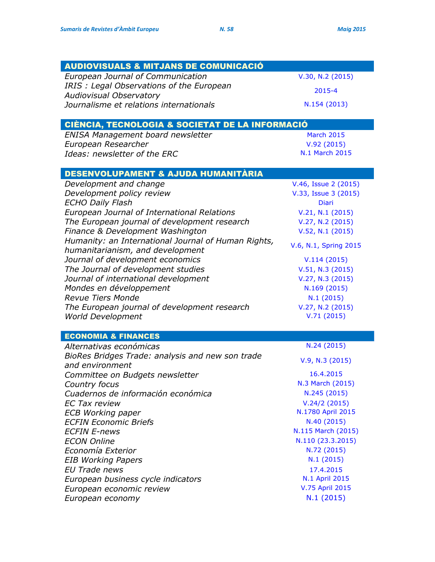| <b>AUDIOVISUALS &amp; MITJANS DE COMUNICACIÓ</b>         |                              |
|----------------------------------------------------------|------------------------------|
| European Journal of Communication                        | V.30, N.2 (2015)             |
| IRIS: Legal Observations of the European                 | 2015-4                       |
| <b>Audiovisual Observatory</b>                           |                              |
| Journalisme et relations internationals                  | N.154 (2013)                 |
|                                                          |                              |
| CIÈNCIA, TECNOLOGIA & SOCIETAT DE LA INFORMACIÓ          |                              |
| ENISA Management board newsletter<br>European Researcher | <b>March 2015</b>            |
| Ideas: newsletter of the ERC                             | V.92(2015)<br>N.1 March 2015 |
|                                                          |                              |
| DESENVOLUPAMENT & AJUDA HUMANITÀRIA                      |                              |
| Development and change                                   | V.46, Issue 2 (2015)         |
| Development policy review                                | V.33, Issue 3 (2015)         |
| <b>ECHO Daily Flash</b>                                  | <b>Diari</b>                 |
| European Journal of International Relations              | V.21, N.1 (2015)             |
| The European journal of development research             | V.27, N.2 (2015)             |
| Finance & Development Washington                         | V.52, N.1 (2015)             |
| Humanity: an International Journal of Human Rights,      | V.6, N.1, Spring 2015        |
| humanitarianism, and development                         |                              |
| Journal of development economics                         | V.114(2015)                  |
| The Journal of development studies                       | V.51, N.3 (2015)             |
| Journal of international development                     | V.27, N.3 (2015)             |
| Mondes en développement                                  | N.169 (2015)                 |
| <b>Revue Tiers Monde</b>                                 | N.1(2015)                    |
| The European journal of development research             | V.27, N.2 (2015)             |
| <b>World Development</b>                                 | V.71(2015)                   |
| <b>ECONOMIA &amp; FINANCES</b>                           |                              |
| Alternativas económicas                                  | N.24 (2015)                  |
| BioRes Bridges Trade: analysis and new son trade         |                              |
| and environment                                          | V.9, N.3 (2015)              |
| Committee on Budgets newsletter                          | 16.4.2015                    |
| Country focus                                            | N.3 March (2015)             |
| Cuadernos de información económica                       | N.245 (2015)                 |
| <b>EC Tax review</b>                                     | V.24/2(2015)                 |
| <b>ECB Working paper</b>                                 | N.1780 April 2015            |
| <b>ECFIN Economic Briefs</b>                             | N.40 (2015)                  |
| <b>ECFIN E-news</b>                                      | N.115 March (2015)           |
| <b>ECON Online</b>                                       | N.110 (23.3.2015)            |
| Economía Exterior                                        | N.72 (2015)                  |
| <b>EIB Working Papers</b>                                | N.1(2015)                    |
| <b>EU Trade news</b>                                     | 17.4.2015                    |
| European business cycle indicators                       | N.1 April 2015               |
| European economic review                                 | V.75 April 2015              |
| European economy                                         | N.1(2015)                    |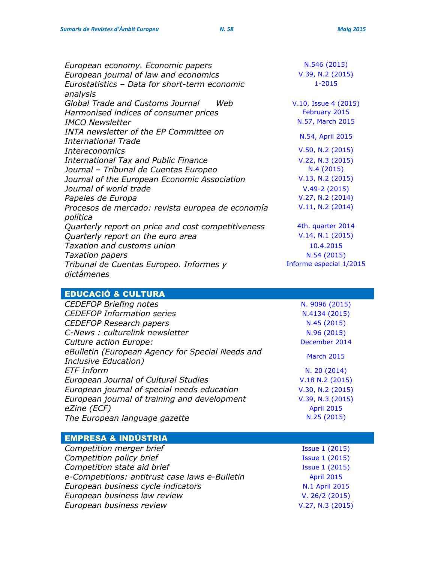| European economy. Economic papers                  | N.546 (2015)            |
|----------------------------------------------------|-------------------------|
| European journal of law and economics              | V.39, N.2 (2015)        |
| Eurostatistics - Data for short-term economic      | $1 - 2015$              |
| analysis                                           |                         |
| Global Trade and Customs Journal<br>Weh            | V.10, Issue 4 (2015)    |
| Harmonised indices of consumer prices              | February 2015           |
| <b>IMCO Newsletter</b>                             | N.57, March 2015        |
| INTA newsletter of the EP Committee on             |                         |
| <b>International Trade</b>                         | N.54, April 2015        |
| <i>Intereconomics</i>                              | V.50, N.2 (2015)        |
| <b>International Tax and Public Finance</b>        | V.22, N.3 (2015)        |
| Journal - Tribunal de Cuentas Europeo              | N.4(2015)               |
| Journal of the European Economic Association       | V.13, N.2 (2015)        |
| Journal of world trade                             | $V.49-2(2015)$          |
| Papeles de Europa                                  | V.27, N.2 (2014)        |
| Procesos de mercado: revista europea de economía   | V.11, N.2 (2014)        |
| política                                           |                         |
| Quarterly report on price and cost competitiveness | 4th. quarter 2014       |
| Quarterly report on the euro area                  | V.14, N.1 (2015)        |
| <b>Taxation and customs union</b>                  | 10.4.2015               |
| <b>Taxation papers</b>                             | N.54(2015)              |
| Tribunal de Cuentas Europeo. Informes y            | Informe especial 1/2015 |
| dictámenes                                         |                         |

# EDUCACIÓ & CULTURA

| <b>CEDEFOP Briefing notes</b>                    | N. 9096 (2015)    |
|--------------------------------------------------|-------------------|
| <b>CEDEFOP Information series</b>                | N.4134 (2015)     |
| <b>CEDEFOP Research papers</b>                   | N.45(2015)        |
| C-News : culturelink newsletter                  | N.96 (2015)       |
| Culture action Europe:                           | December 2014     |
| eBulletin (European Agency for Special Needs and | <b>March 2015</b> |
| Inclusive Education)                             |                   |
| <b>ETF Inform</b>                                | N. 20 (2014)      |
| <b>European Journal of Cultural Studies</b>      | V.18 N.2 (2015)   |
| European journal of special needs education      | V.30, N.2 (2015)  |
| European journal of training and development     | V.39, N.3 (2015)  |
| eZine (ECF)                                      | <b>April 2015</b> |
| The European language gazette                    | N.25 (2015)       |

## EMPRESA & INDÚSTRIA

| <b>Issue 1 (2015)</b> |
|-----------------------|
| <b>Issue 1 (2015)</b> |
| <b>Issue 1 (2015)</b> |
| <b>April 2015</b>     |
| N.1 April 2015        |
| V. 26/2 (2015)        |
| V.27, N.3 (2015)      |
|                       |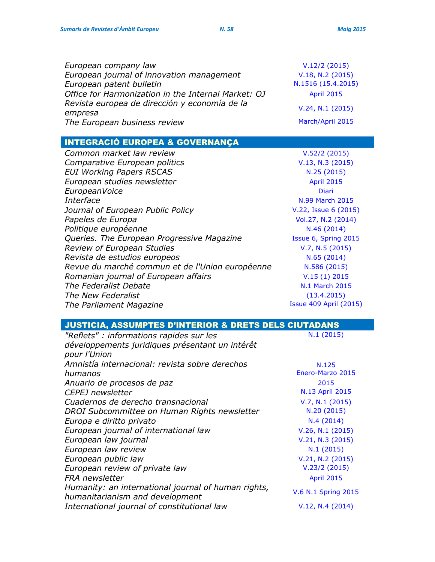| European company law                                | V.12/2(2015)       |
|-----------------------------------------------------|--------------------|
| European journal of innovation management           | V.18, N.2 (2015)   |
| European patent bulletin                            | N.1516 (15.4.2015) |
| Office for Harmonization in the Internal Market: OJ | <b>April 2015</b>  |
| Revista europea de dirección y economía de la       | V.24, N.1 (2015)   |
| empresa                                             |                    |
| The European business review                        | March/April 2015   |

# INTEGRACIÓ EUROPEA & GOVERNANÇA

| Common market law review                        | V.52/2(2015)           |
|-------------------------------------------------|------------------------|
| Comparative European politics                   | V.13, N.3 (2015)       |
| <b>EUI Working Papers RSCAS</b>                 | N.25(2015)             |
| European studies newsletter                     | <b>April 2015</b>      |
| EuropeanVoice                                   | Diari                  |
| Interface                                       | N.99 March 2015        |
| Journal of European Public Policy               | V.22, Issue 6 (2015)   |
| Papeles de Europa                               | Vol.27, N.2 (2014)     |
| Politique européenne                            | N.46 (2014)            |
| Queries. The European Progressive Magazine      | Issue 6, Spring 2015   |
| <b>Review of European Studies</b>               | V.7, N.5 (2015)        |
| Revista de estudios europeos                    | N.65(2014)             |
| Revue du marché commun et de l'Union européenne | N.586 (2015)           |
| Romanian journal of European affairs            | V.15(1) 2015           |
| The Federalist Debate                           | N.1 March 2015         |
| The New Federalist                              | (13.4.2015)            |
| The Parliament Magazine                         | Issue 409 April (2015) |
|                                                 |                        |

| "Reflets" : informations rapides sur les                                               | N.1(2015)           |
|----------------------------------------------------------------------------------------|---------------------|
| développements juridiques présentant un intérêt                                        |                     |
| pour l'Union                                                                           |                     |
| Amnistía internacional: revista sobre derechos                                         | N.125               |
| humanos                                                                                | Enero-Marzo 2015    |
| Anuario de procesos de paz                                                             | 2015                |
| <b>CEPEJ</b> newsletter                                                                | N.13 April 2015     |
| Cuadernos de derecho transnacional                                                     | V.7, N.1 (2015)     |
| DROI Subcommittee on Human Rights newsletter                                           | N.20 (2015)         |
| Europa e diritto privato                                                               | N.4(2014)           |
| European journal of international law                                                  | V.26, N.1 (2015)    |
| European law journal                                                                   | V.21, N.3 (2015)    |
| European law review                                                                    | N.1(2015)           |
| European public law                                                                    | V.21, N.2 (2015)    |
| European review of private law                                                         | V.23/2(2015)        |
| <b>FRA</b> newsletter                                                                  | <b>April 2015</b>   |
| Humanity: an international journal of human rights,<br>humanitarianism and development | V.6 N.1 Spring 2015 |
| International journal of constitutional law                                            | V.12, N.4(2014)     |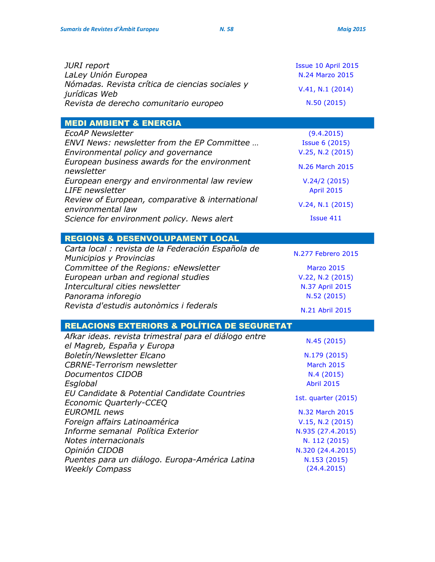| <b>JURI</b> report<br>LaLey Unión Europea                                                                                             | Issue 10 April 2015<br>N.24 Marzo 2015                                                         |
|---------------------------------------------------------------------------------------------------------------------------------------|------------------------------------------------------------------------------------------------|
| Nómadas. Revista crítica de ciencias sociales y<br>jurídicas Web                                                                      | V.41, N.1 (2014)                                                                               |
| Revista de derecho comunitario europeo                                                                                                | N.50 (2015)                                                                                    |
| <b>MEDI AMBIENT &amp; ENERGIA</b>                                                                                                     |                                                                                                |
| <b>EcoAP Newsletter</b><br>ENVI News: newsletter from the EP Committee<br>Environmental policy and governance                         | (9.4.2015)<br><b>Issue 6 (2015)</b><br>V.25, N.2 (2015)                                        |
| European business awards for the environment<br>newsletter                                                                            | N.26 March 2015                                                                                |
| European energy and environmental law review<br><b>LIFE</b> newsletter                                                                | V.24/2(2015)<br><b>April 2015</b>                                                              |
| Review of European, comparative & international<br>environmental law                                                                  | V.24, N.1 (2015)                                                                               |
| Science for environment policy. News alert                                                                                            | Issue 411                                                                                      |
| <b>REGIONS &amp; DESENVOLUPAMENT LOCAL</b>                                                                                            |                                                                                                |
| Carta local : revista de la Federación Española de<br>Municipios y Provincias                                                         | N.277 Febrero 2015                                                                             |
| Committee of the Regions: eNewsletter<br>European urban and regional studies<br>Intercultural cities newsletter<br>Panorama inforegio | <b>Marzo 2015</b><br>V.22, N.2 (2015)<br>N.37 April 2015<br>N.52 (2015)                        |
| Revista d'estudis autonòmics i federals                                                                                               | N.21 Abril 2015                                                                                |
| <b>RELACIONS EXTERIORS &amp; POLÍTICA DE SEGURETAT</b>                                                                                |                                                                                                |
| Afkar ideas. revista trimestral para el diálogo entre<br>el Magreb, España y Europa                                                   | N.45 (2015)                                                                                    |
| <b>Boletín/Newsletter Elcano</b><br><b>CBRNE-Terrorism newsletter</b><br>Documentos CIDOB<br>Esglobal                                 | N.179 (2015)<br><b>March 2015</b><br>N.4 (2015)<br><b>Abril 2015</b>                           |
| EU Candidate & Potential Candidate Countries<br>Economic Quarterly-CCEQ                                                               | 1st. quarter (2015)                                                                            |
| <b>EUROMIL</b> news<br>Foreign affairs Latinoamérica<br>Informe semanal Política Exterior<br>Notes internacionals<br>Opinión CIDOB    | N.32 March 2015<br>V.15, N.2 (2015)<br>N.935 (27.4.2015)<br>N. 112 (2015)<br>N.320 (24.4.2015) |
| Puentes para un diálogo. Europa-América Latina<br><b>Weekly Compass</b>                                                               | N.153 (2015)<br>(24.4.2015)                                                                    |